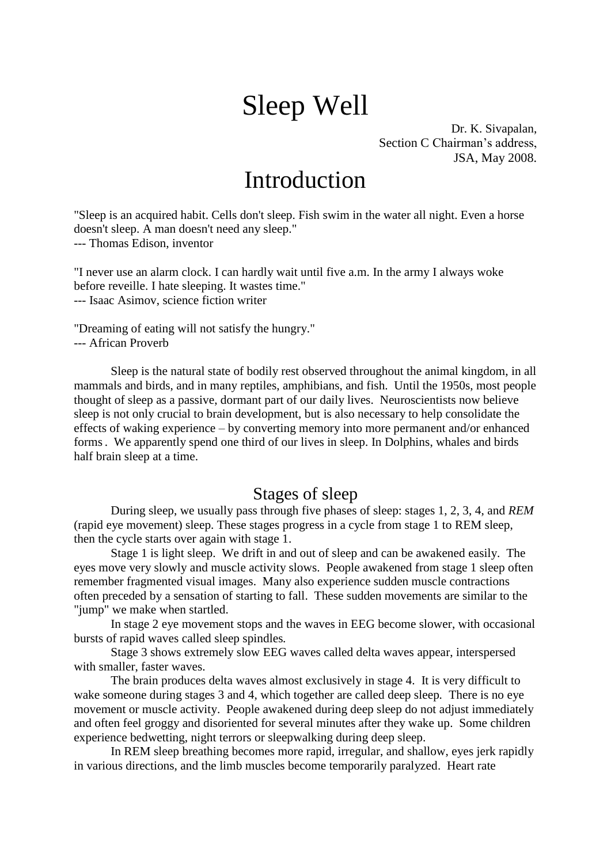# Sleep Well

Dr. K. Sivapalan, Section C Chairman's address, JSA, May 2008.

# Introduction

"Sleep is an acquired habit. Cells don't sleep. Fish swim in the water all night. Even a horse doesn't sleep. A man doesn't need any sleep." --- Thomas Edison, inventor

"I never use an alarm clock. I can hardly wait until five a.m. In the army I always woke before reveille. I hate sleeping. It wastes time." --- Isaac Asimov, science fiction writer

"Dreaming of eating will not satisfy the hungry." --- African Proverb

Sleep is the natural state of bodily rest observed throughout the animal kingdom, in all mammals and birds, and in many reptiles, amphibians, and fish. Until the 1950s, most people thought of sleep as a passive, dormant part of our daily lives. Neuroscientists now believe sleep is not only crucial to brain development, but is also necessary to help consolidate the effects of waking experience – by converting memory into more permanent and/or enhanced forms. We apparently spend one third of our lives in sleep. In Dolphins, whales and birds half brain sleep at a time.

### Stages of sleep

During sleep, we usually pass through five phases of sleep: stages 1, 2, 3, 4, and *REM* (rapid eye movement) sleep. These stages progress in a cycle from stage 1 to REM sleep, then the cycle starts over again with stage 1.

Stage 1 is light sleep. We drift in and out of sleep and can be awakened easily. The eyes move very slowly and muscle activity slows. People awakened from stage 1 sleep often remember fragmented visual images. Many also experience sudden muscle contractions often preceded by a sensation of starting to fall. These sudden movements are similar to the "jump" we make when startled.

In stage 2 eye movement stops and the waves in EEG become slower, with occasional bursts of rapid waves called sleep spindles*.*

Stage 3 shows extremely slow EEG waves called delta waves appear, interspersed with smaller, faster waves.

The brain produces delta waves almost exclusively in stage 4. It is very difficult to wake someone during stages 3 and 4, which together are called deep sleep*.* There is no eye movement or muscle activity. People awakened during deep sleep do not adjust immediately and often feel groggy and disoriented for several minutes after they wake up. Some children experience bedwetting, night terrors or sleepwalking during deep sleep.

In REM sleep breathing becomes more rapid, irregular, and shallow, eyes jerk rapidly in various directions, and the limb muscles become temporarily paralyzed. Heart rate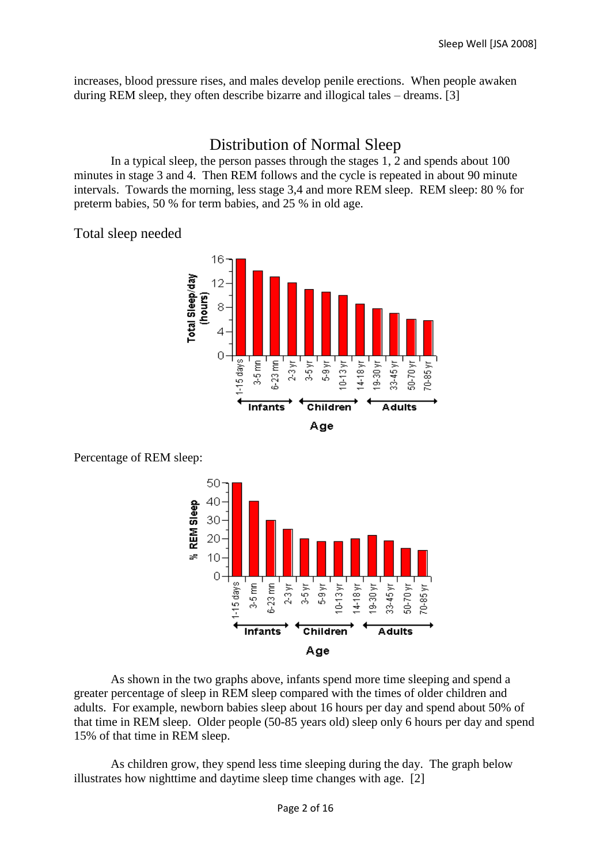increases, blood pressure rises, and males develop penile erections. When people awaken during REM sleep, they often describe bizarre and illogical tales – dreams. [3]

### Distribution of Normal Sleep

In a typical sleep, the person passes through the stages 1, 2 and spends about 100 minutes in stage 3 and 4. Then REM follows and the cycle is repeated in about 90 minute intervals. Towards the morning, less stage 3,4 and more REM sleep. REM sleep: 80 % for preterm babies, 50 % for term babies, and 25 % in old age.

Total sleep needed







As shown in the two graphs above, infants spend more time sleeping and spend a greater percentage of sleep in REM sleep compared with the times of older children and adults. For example, newborn babies sleep about 16 hours per day and spend about 50% of that time in REM sleep. Older people (50-85 years old) sleep only 6 hours per day and spend 15% of that time in REM sleep.

As children grow, they spend less time sleeping during the day. The graph below illustrates how nighttime and daytime sleep time changes with age. [2]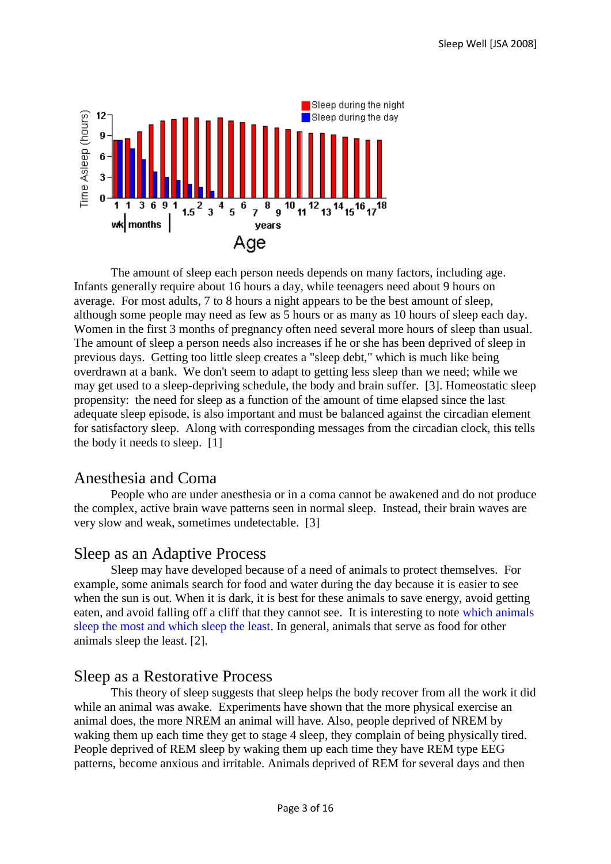

The amount of sleep each person needs depends on many factors, including age. Infants generally require about 16 hours a day, while teenagers need about 9 hours on average. For most adults, 7 to 8 hours a night appears to be the best amount of sleep, although some people may need as few as 5 hours or as many as 10 hours of sleep each day. Women in the first 3 months of pregnancy often need several more hours of sleep than usual. The amount of sleep a person needs also increases if he or she has been deprived of sleep in previous days. Getting too little sleep creates a "sleep debt," which is much like being overdrawn at a bank. We don't seem to adapt to getting less sleep than we need; while we may get used to a sleep-depriving schedule, the body and brain suffer. [3]. Homeostatic sleep propensity: the need for sleep as a function of the amount of time elapsed since the last adequate sleep episode, is also important and must be balanced against the circadian element for satisfactory sleep. Along with corresponding messages from the circadian clock, this tells the body it needs to sleep. [1]

### Anesthesia and Coma

People who are under anesthesia or in a coma cannot be awakened and do not produce the complex, active brain wave patterns seen in normal sleep. Instead, their brain waves are very slow and weak, sometimes undetectable. [3]

### Sleep as an Adaptive Process

Sleep may have developed because of a need of animals to protect themselves. For example, some animals search for food and water during the day because it is easier to see when the sun is out. When it is dark, it is best for these animals to save energy, avoid getting eaten, and avoid falling off a cliff that they cannot see. It is interesting to note [which animals](http://faculty.washington.edu/chudler/chasleep.html)  [sleep the most and which sleep the least.](http://faculty.washington.edu/chudler/chasleep.html) In general, animals that serve as food for other animals sleep the least. [2].

### Sleep as a Restorative Process

This theory of sleep suggests that sleep helps the body recover from all the work it did while an animal was awake. Experiments have shown that the more physical exercise an animal does, the more NREM an animal will have. Also, people deprived of NREM by waking them up each time they get to stage 4 sleep, they complain of being physically tired. People deprived of REM sleep by waking them up each time they have REM type EEG patterns, become anxious and irritable. Animals deprived of REM for several days and then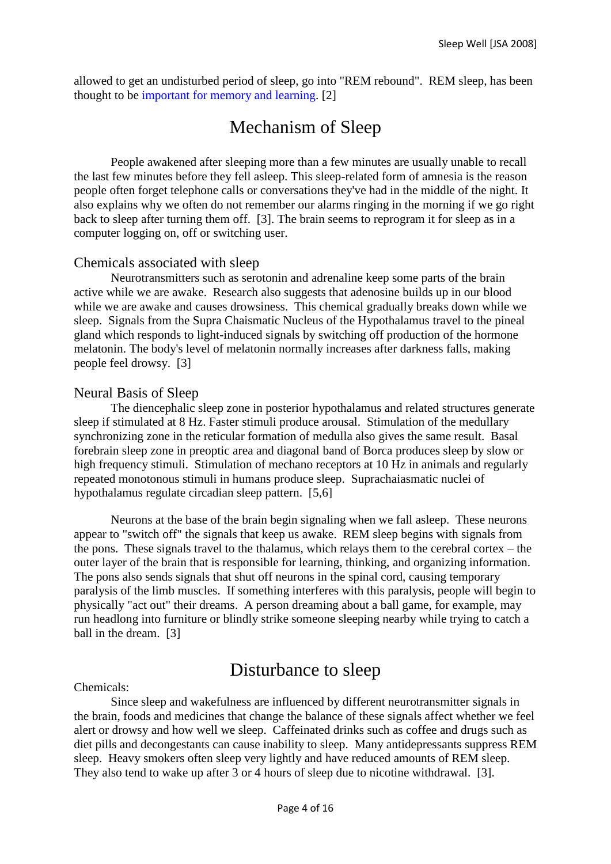allowed to get an undisturbed period of sleep, go into "REM rebound". REM sleep, has been thought to be [important for memory and learning.](http://faculty.washington.edu/chudler/jsleep.html) [2]

# Mechanism of Sleep

People awakened after sleeping more than a few minutes are usually unable to recall the last few minutes before they fell asleep. This sleep-related form of amnesia is the reason people often forget telephone calls or conversations they've had in the middle of the night. It also explains why we often do not remember our alarms ringing in the morning if we go right back to sleep after turning them off. [3]. The brain seems to reprogram it for sleep as in a computer logging on, off or switching user.

#### Chemicals associated with sleep

Neurotransmitters such as serotonin and adrenaline keep some parts of the brain active while we are awake. Research also suggests that adenosine builds up in our blood while we are awake and causes drowsiness. This chemical gradually breaks down while we sleep. Signals from the Supra Chaismatic Nucleus of the Hypothalamus travel to the pineal gland which responds to light-induced signals by switching off production of the hormone melatonin. The body's level of melatonin normally increases after darkness falls, making people feel drowsy. [3]

#### Neural Basis of Sleep

The diencephalic sleep zone in posterior hypothalamus and related structures generate sleep if stimulated at 8 Hz. Faster stimuli produce arousal. Stimulation of the medullary synchronizing zone in the reticular formation of medulla also gives the same result. Basal forebrain sleep zone in preoptic area and diagonal band of Borca produces sleep by slow or high frequency stimuli. Stimulation of mechano receptors at 10 Hz in animals and regularly repeated monotonous stimuli in humans produce sleep. Suprachaiasmatic nuclei of hypothalamus regulate circadian sleep pattern. [5,6]

Neurons at the base of the brain begin signaling when we fall asleep. These neurons appear to "switch off" the signals that keep us awake. REM sleep begins with signals from the pons. These signals travel to the thalamus, which relays them to the cerebral cortex – the outer layer of the brain that is responsible for learning, thinking, and organizing information. The pons also sends signals that shut off neurons in the spinal cord, causing temporary paralysis of the limb muscles. If something interferes with this paralysis, people will begin to physically "act out" their dreams. A person dreaming about a ball game, for example, may run headlong into furniture or blindly strike someone sleeping nearby while trying to catch a ball in the dream. [3]

# Disturbance to sleep

Chemicals:

Since sleep and wakefulness are influenced by different neurotransmitter signals in the brain, foods and medicines that change the balance of these signals affect whether we feel alert or drowsy and how well we sleep. Caffeinated drinks such as coffee and drugs such as diet pills and decongestants can cause inability to sleep. Many antidepressants suppress REM sleep. Heavy smokers often sleep very lightly and have reduced amounts of REM sleep. They also tend to wake up after 3 or 4 hours of sleep due to nicotine withdrawal. [3].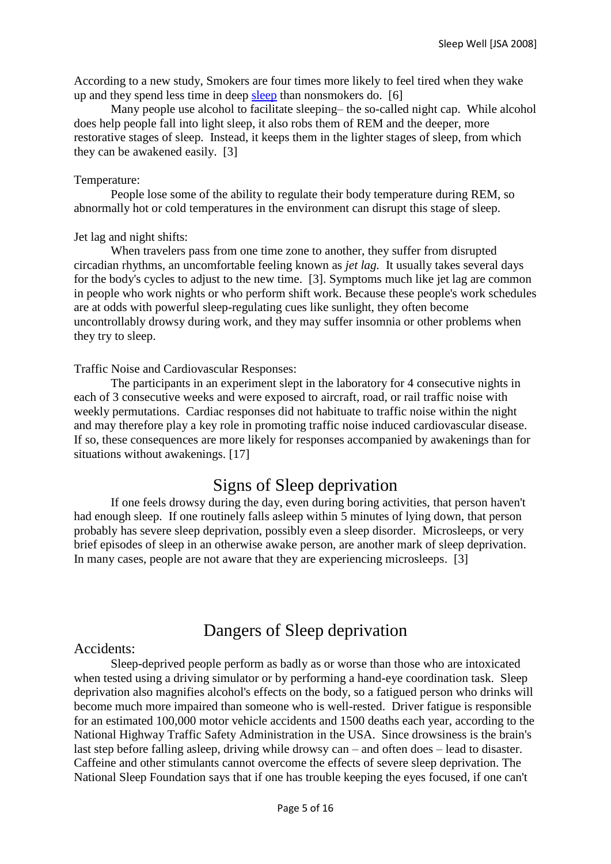According to a new study, Smokers are four times more likely to feel tired when they wake up and they spend less time in deep [sleep](http://www.medicinenet.com/script/main/art.asp?articlekey=6177) than nonsmokers do. [6]

Many people use alcohol to facilitate sleeping– the so-called night cap. While alcohol does help people fall into light sleep, it also robs them of REM and the deeper, more restorative stages of sleep. Instead, it keeps them in the lighter stages of sleep, from which they can be awakened easily. [3]

#### Temperature:

People lose some of the ability to regulate their body temperature during REM, so abnormally hot or cold temperatures in the environment can disrupt this stage of sleep.

#### Jet lag and night shifts:

When travelers pass from one time zone to another, they suffer from disrupted circadian rhythms, an uncomfortable feeling known as *jet lag.* It usually takes several days for the body's cycles to adjust to the new time. [3]. Symptoms much like jet lag are common in people who work nights or who perform shift work. Because these people's work schedules are at odds with powerful sleep-regulating cues like sunlight, they often become uncontrollably drowsy during work, and they may suffer insomnia or other problems when they try to sleep.

#### Traffic Noise and Cardiovascular Responses:

The participants in an experiment slept in the laboratory for 4 consecutive nights in each of 3 consecutive weeks and were exposed to aircraft, road, or rail traffic noise with weekly permutations. Cardiac responses did not habituate to traffic noise within the night and may therefore play a key role in promoting traffic noise induced cardiovascular disease. If so, these consequences are more likely for responses accompanied by awakenings than for situations without awakenings. [17]

### Signs of Sleep deprivation

If one feels drowsy during the day, even during boring activities, that person haven't had enough sleep. If one routinely falls asleep within 5 minutes of lying down, that person probably has severe sleep deprivation, possibly even a sleep disorder. Microsleeps, or very brief episodes of sleep in an otherwise awake person, are another mark of sleep deprivation. In many cases, people are not aware that they are experiencing microsleeps. [3]

# Dangers of Sleep deprivation

#### Accidents:

Sleep-deprived people perform as badly as or worse than those who are intoxicated when tested using a driving simulator or by performing a hand-eye coordination task. Sleep deprivation also magnifies alcohol's effects on the body, so a fatigued person who drinks will become much more impaired than someone who is well-rested. Driver fatigue is responsible for an estimated 100,000 motor vehicle accidents and 1500 deaths each year, according to the National Highway Traffic Safety Administration in the USA. Since drowsiness is the brain's last step before falling asleep, driving while drowsy can – and often does – lead to disaster. Caffeine and other stimulants cannot overcome the effects of severe sleep deprivation. The National Sleep Foundation says that if one has trouble keeping the eyes focused, if one can't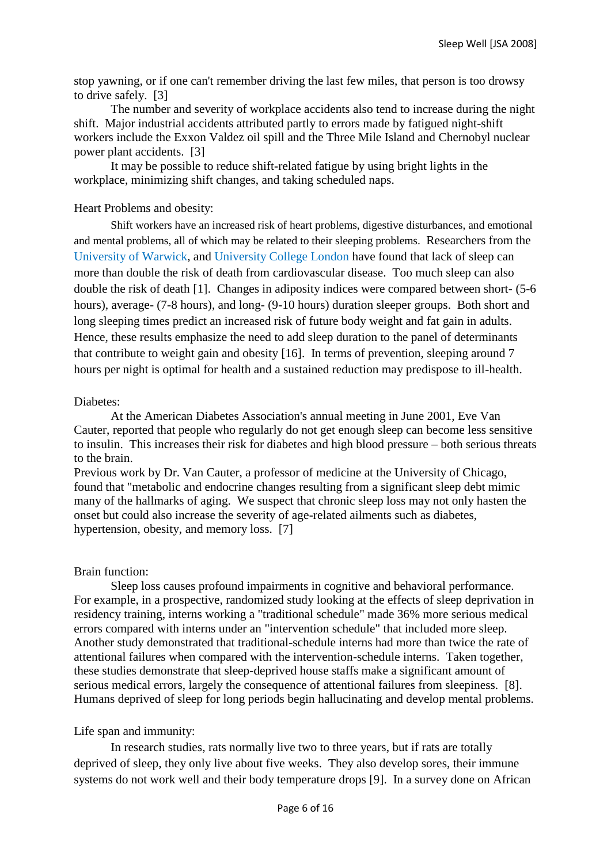stop yawning, or if one can't remember driving the last few miles, that person is too drowsy to drive safely. [3]

The number and severity of workplace accidents also tend to increase during the night shift. Major industrial accidents attributed partly to errors made by fatigued night-shift workers include the Exxon Valdez oil spill and the Three Mile Island and Chernobyl nuclear power plant accidents. [3]

It may be possible to reduce shift-related fatigue by using bright lights in the workplace, minimizing shift changes, and taking scheduled naps.

#### Heart Problems and obesity:

Shift workers have an increased risk of heart problems, digestive disturbances, and emotional and mental problems, all of which may be related to their sleeping problems. Researchers from the [University of Warwick,](http://en.wikipedia.org/wiki/University_of_Warwick) and [University College London](http://en.wikipedia.org/wiki/University_College_London) have found that lack of sleep can more than double the risk of death from [cardiovascular disease.](http://en.wikipedia.org/wiki/Cardiovascular_disease) Too much sleep can also double the risk of death [1]. Changes in adiposity indices were compared between short- (5-6 hours), average- (7-8 hours), and long- (9-10 hours) duration sleeper groups. Both short and long sleeping times predict an increased risk of future body weight and fat gain in adults. Hence, these results emphasize the need to add sleep duration to the panel of determinants that contribute to weight gain and obesity [16]. In terms of prevention, sleeping around 7 hours per night is optimal for health and a sustained reduction may predispose to ill-health.

#### Diabetes:

At the American Diabetes Association's annual meeting in June 2001, Eve Van Cauter, reported that people who regularly do not get enough sleep can become less sensitive to insulin. This increases their risk for diabetes and high blood pressure – both serious threats to the brain.

Previous work by Dr. Van Cauter, a professor of medicine at the University of Chicago, found that "metabolic and endocrine changes resulting from a significant sleep debt mimic many of the hallmarks of aging. We suspect that chronic sleep loss may not only hasten the onset but could also increase the severity of age-related ailments such as diabetes, hypertension, obesity, and memory loss. [7]

#### Brain function:

Sleep loss causes profound impairments in cognitive and behavioral performance. For example, in a prospective, randomized study looking at the effects of sleep deprivation in residency training, interns working a "traditional schedule" made 36% more serious medical errors compared with interns under an "intervention schedule" that included more sleep. Another study demonstrated that traditional-schedule interns had more than twice the rate of attentional failures when compared with the intervention-schedule interns. Taken together, these studies demonstrate that sleep-deprived house staffs make a significant amount of serious medical errors, largely the consequence of attentional failures from sleepiness. [8]. Humans deprived of sleep for long periods begin hallucinating and develop mental problems.

#### Life span and immunity:

In research studies, rats normally live two to three years, but if rats are totally deprived of sleep, they only live about five weeks. They also develop sores, their immune systems do not work well and their body temperature drops [9]. In a survey done on African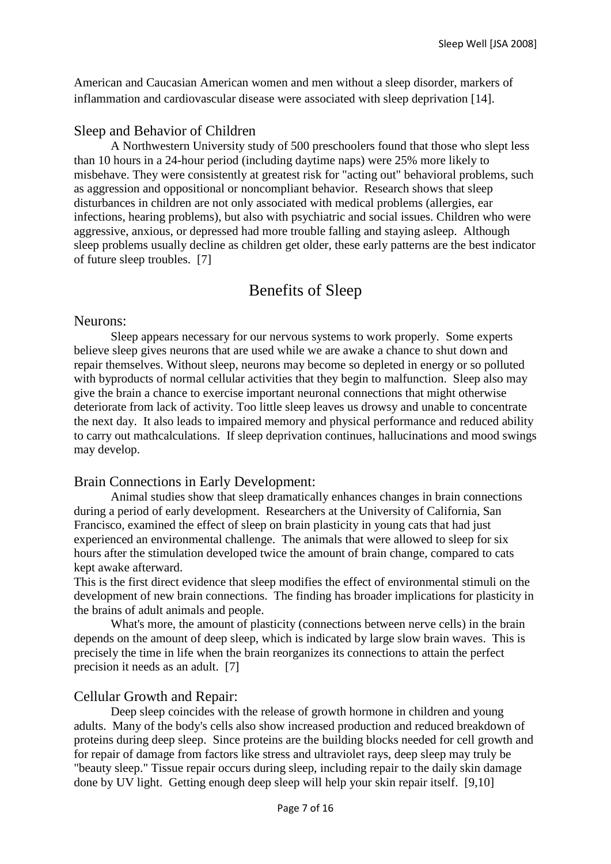American and Caucasian American women and men without a sleep disorder, markers of inflammation and cardiovascular disease were associated with sleep deprivation [14].

#### Sleep and Behavior of Children

A Northwestern University study of 500 preschoolers found that those who slept less than 10 hours in a 24-hour period (including daytime naps) were 25% more likely to misbehave. They were consistently at greatest risk for "acting out" behavioral problems, such as aggression and oppositional or noncompliant behavior. Research shows that sleep disturbances in children are not only associated with medical problems (allergies, ear infections, hearing problems), but also with psychiatric and social issues. Children who were aggressive, anxious, or depressed had more trouble falling and staying asleep. Although sleep problems usually decline as children get older, these early patterns are the best indicator of future sleep troubles. [7]

### Benefits of Sleep

#### Neurons:

Sleep appears necessary for our nervous systems to work properly. Some experts believe sleep gives neurons that are used while we are awake a chance to shut down and repair themselves. Without sleep, neurons may become so depleted in energy or so polluted with byproducts of normal cellular activities that they begin to malfunction. Sleep also may give the brain a chance to exercise important neuronal connections that might otherwise deteriorate from lack of activity. Too little sleep leaves us drowsy and unable to concentrate the next day. It also leads to impaired memory and physical performance and reduced ability to carry out mathcalculations. If sleep deprivation continues, hallucinations and mood swings may develop.

#### Brain Connections in Early Development:

Animal studies show that sleep dramatically enhances changes in brain connections during a period of early development. Researchers at the University of California, San Francisco, examined the effect of sleep on brain plasticity in young cats that had just experienced an environmental challenge. The animals that were allowed to sleep for six hours after the stimulation developed twice the amount of brain change, compared to cats kept awake afterward.

This is the first direct evidence that sleep modifies the effect of environmental stimuli on the development of new brain connections. The finding has broader implications for plasticity in the brains of adult animals and people.

What's more, the amount of plasticity (connections between nerve cells) in the brain depends on the amount of deep sleep, which is indicated by large slow brain waves. This is precisely the time in life when the brain reorganizes its connections to attain the perfect precision it needs as an adult. [7]

#### Cellular Growth and Repair:

Deep sleep coincides with the release of growth hormone in children and young adults. Many of the body's cells also show increased production and reduced breakdown of proteins during deep sleep. Since proteins are the building blocks needed for cell growth and for repair of damage from factors like stress and ultraviolet rays, deep sleep may truly be "beauty sleep." Tissue repair occurs during sleep, including repair to the daily skin damage done by UV light. Getting enough deep sleep will help your skin repair itself. [9,10]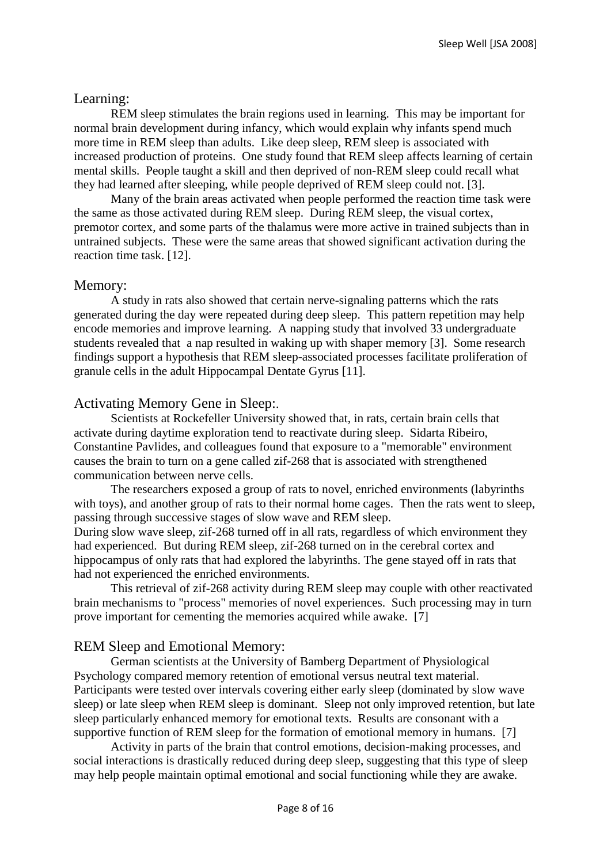#### Learning:

REM sleep stimulates the brain regions used in learning. This may be important for normal brain development during infancy, which would explain why infants spend much more time in REM sleep than adults. Like deep sleep, REM sleep is associated with increased production of proteins. One study found that REM sleep affects learning of certain mental skills. People taught a skill and then deprived of non-REM sleep could recall what they had learned after sleeping, while people deprived of REM sleep could not. [3].

Many of the brain areas activated when people performed the reaction time task were the same as those activated during REM sleep. During REM sleep, the visual cortex, premotor cortex, and some parts of the thalamus were more active in trained subjects than in untrained subjects. These were the same areas that showed significant activation during the reaction time task. [12].

#### Memory:

A study in rats also showed that certain nerve-signaling patterns which the rats generated during the day were repeated during deep sleep. This pattern repetition may help encode memories and improve learning. A napping study that involved 33 undergraduate students revealed that a nap resulted in waking up with shaper memory [3]. Some research findings support a hypothesis that REM sleep-associated processes facilitate proliferation of granule cells in the adult Hippocampal Dentate Gyrus [11].

#### Activating Memory Gene in Sleep:.

Scientists at Rockefeller University showed that, in rats, certain brain cells that activate during daytime exploration tend to reactivate during sleep. Sidarta Ribeiro, Constantine Pavlides, and colleagues found that exposure to a "memorable" environment causes the brain to turn on a gene called zif-268 that is associated with strengthened communication between nerve cells.

The researchers exposed a group of rats to novel, enriched environments (labyrinths with toys), and another group of rats to their normal home cages. Then the rats went to sleep, passing through successive stages of slow wave and REM sleep.

During slow wave sleep, zif-268 turned off in all rats, regardless of which environment they had experienced. But during REM sleep, zif-268 turned on in the cerebral cortex and hippocampus of only rats that had explored the labyrinths. The gene stayed off in rats that had not experienced the enriched environments.

This retrieval of zif-268 activity during REM sleep may couple with other reactivated brain mechanisms to "process" memories of novel experiences. Such processing may in turn prove important for cementing the memories acquired while awake. [7]

#### REM Sleep and Emotional Memory:

German scientists at the University of Bamberg Department of Physiological Psychology compared memory retention of emotional versus neutral text material. Participants were tested over intervals covering either early sleep (dominated by slow wave sleep) or late sleep when REM sleep is dominant. Sleep not only improved retention, but late sleep particularly enhanced memory for emotional texts. Results are consonant with a supportive function of REM sleep for the formation of emotional memory in humans. [7]

Activity in parts of the brain that control emotions, decision-making processes, and social interactions is drastically reduced during deep sleep, suggesting that this type of sleep may help people maintain optimal emotional and social functioning while they are awake.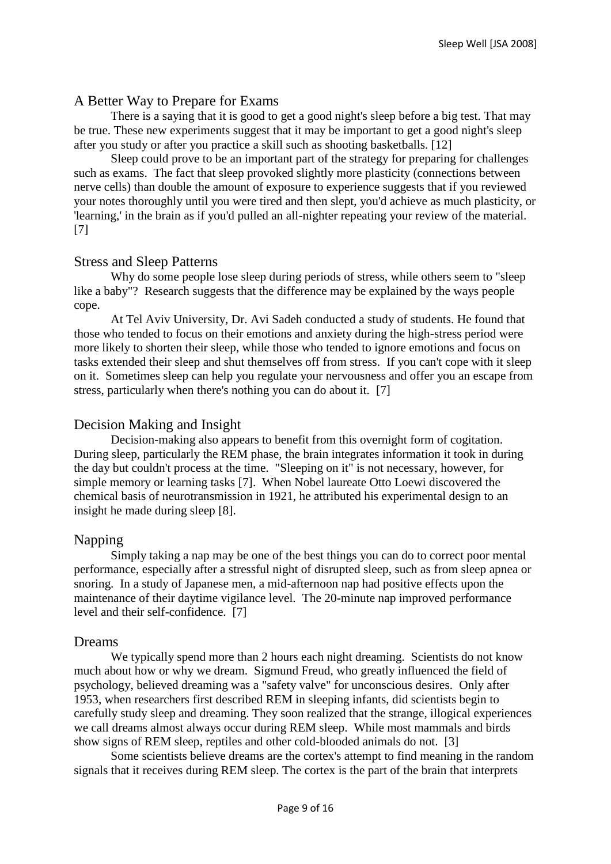#### A Better Way to Prepare for Exams

There is a saying that it is good to get a good night's sleep before a big test. That may be true. These new experiments suggest that it may be important to get a good night's sleep after you study or after you practice a skill such as shooting basketballs. [12]

Sleep could prove to be an important part of the strategy for preparing for challenges such as exams. The fact that sleep provoked slightly more plasticity (connections between nerve cells) than double the amount of exposure to experience suggests that if you reviewed your notes thoroughly until you were tired and then slept, you'd achieve as much plasticity, or 'learning,' in the brain as if you'd pulled an all-nighter repeating your review of the material. [7]

#### Stress and Sleep Patterns

Why do some people lose sleep during periods of stress, while others seem to "sleep like a baby"? Research suggests that the difference may be explained by the ways people cope.

At Tel Aviv University, Dr. Avi Sadeh conducted a study of students. He found that those who tended to focus on their emotions and anxiety during the high-stress period were more likely to shorten their sleep, while those who tended to ignore emotions and focus on tasks extended their sleep and shut themselves off from stress. If you can't cope with it sleep on it. Sometimes sleep can help you regulate your nervousness and offer you an escape from stress, particularly when there's nothing you can do about it. [7]

#### Decision Making and Insight

Decision-making also appears to benefit from this overnight form of cogitation. During sleep, particularly the REM phase, the brain integrates information it took in during the day but couldn't process at the time. "Sleeping on it" is not necessary, however, for simple memory or learning tasks [7]. When Nobel laureate Otto Loewi discovered the chemical basis of neurotransmission in 1921, he attributed his experimental design to an insight he made during sleep [8].

#### Napping

Simply taking a nap may be one of the best things you can do to correct poor mental performance, especially after a stressful night of disrupted sleep, such as from sleep apnea or snoring. In a study of Japanese men, a mid-afternoon nap had positive effects upon the maintenance of their daytime vigilance level. The 20-minute nap improved performance level and their self-confidence. [7]

#### Dreams

We typically spend more than 2 hours each night dreaming. Scientists do not know much about how or why we dream. Sigmund Freud, who greatly influenced the field of psychology, believed dreaming was a "safety valve" for unconscious desires. Only after 1953, when researchers first described REM in sleeping infants, did scientists begin to carefully study sleep and dreaming. They soon realized that the strange, illogical experiences we call dreams almost always occur during REM sleep. While most mammals and birds show signs of REM sleep, reptiles and other cold-blooded animals do not. [3]

Some scientists believe dreams are the cortex's attempt to find meaning in the random signals that it receives during REM sleep. The cortex is the part of the brain that interprets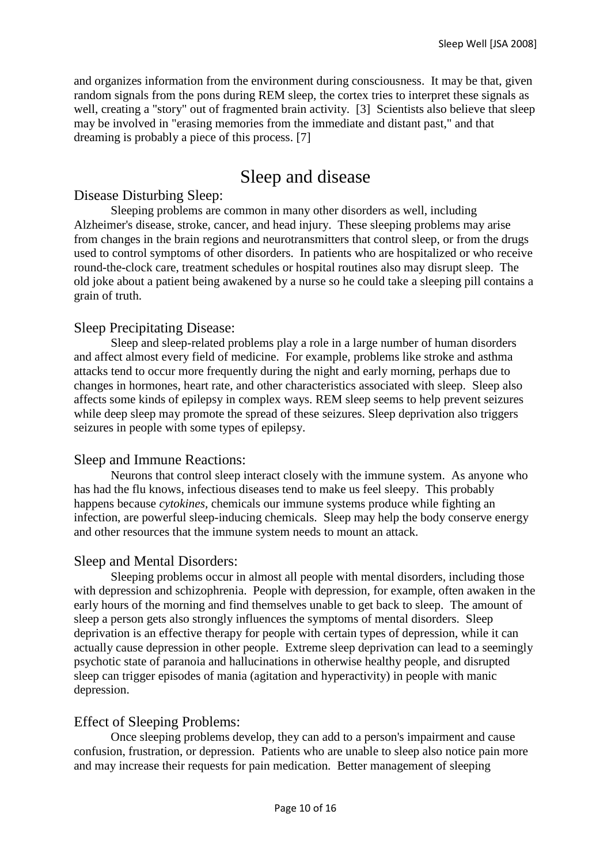and organizes information from the environment during consciousness. It may be that, given random signals from the pons during REM sleep, the cortex tries to interpret these signals as well, creating a "story" out of fragmented brain activity. [3] Scientists also believe that sleep may be involved in "erasing memories from the immediate and distant past," and that dreaming is probably a piece of this process. [7]

# Sleep and disease

#### Disease Disturbing Sleep:

Sleeping problems are common in many other disorders as well, including Alzheimer's disease, stroke, cancer, and head injury. These sleeping problems may arise from changes in the brain regions and neurotransmitters that control sleep, or from the drugs used to control symptoms of other disorders. In patients who are hospitalized or who receive round-the-clock care, treatment schedules or hospital routines also may disrupt sleep. The old joke about a patient being awakened by a nurse so he could take a sleeping pill contains a grain of truth.

#### Sleep Precipitating Disease:

Sleep and sleep-related problems play a role in a large number of human disorders and affect almost every field of medicine. For example, problems like stroke and asthma attacks tend to occur more frequently during the night and early morning, perhaps due to changes in hormones, heart rate, and other characteristics associated with sleep. Sleep also affects some kinds of epilepsy in complex ways. REM sleep seems to help prevent seizures while deep sleep may promote the spread of these seizures. Sleep deprivation also triggers seizures in people with some types of epilepsy.

#### Sleep and Immune Reactions:

Neurons that control sleep interact closely with the immune system. As anyone who has had the flu knows, infectious diseases tend to make us feel sleepy. This probably happens because *cytokines,* chemicals our immune systems produce while fighting an infection, are powerful sleep-inducing chemicals. Sleep may help the body conserve energy and other resources that the immune system needs to mount an attack.

#### Sleep and Mental Disorders:

Sleeping problems occur in almost all people with mental disorders, including those with depression and schizophrenia. People with depression, for example, often awaken in the early hours of the morning and find themselves unable to get back to sleep. The amount of sleep a person gets also strongly influences the symptoms of mental disorders. Sleep deprivation is an effective therapy for people with certain types of depression, while it can actually cause depression in other people. Extreme sleep deprivation can lead to a seemingly psychotic state of paranoia and hallucinations in otherwise healthy people, and disrupted sleep can trigger episodes of mania (agitation and hyperactivity) in people with manic depression.

#### Effect of Sleeping Problems:

Once sleeping problems develop, they can add to a person's impairment and cause confusion, frustration, or depression. Patients who are unable to sleep also notice pain more and may increase their requests for pain medication. Better management of sleeping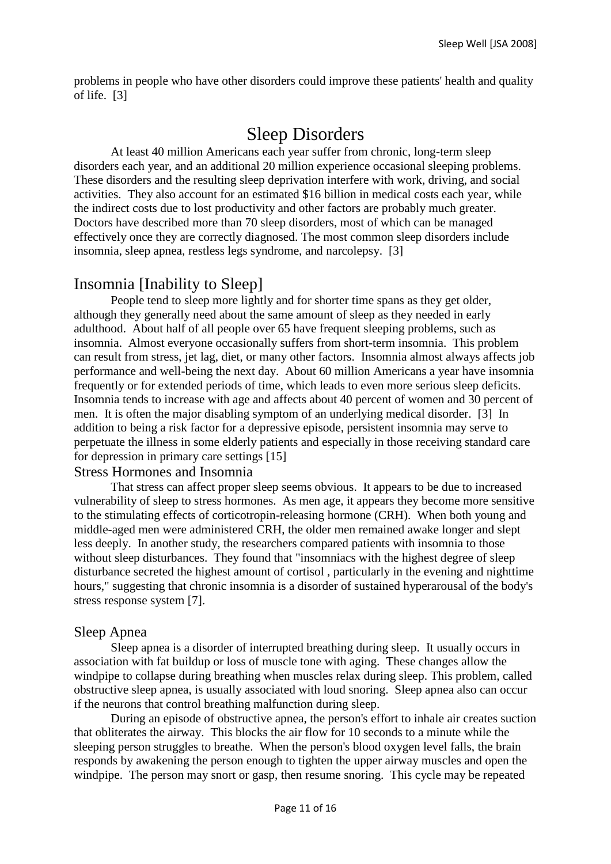problems in people who have other disorders could improve these patients' health and quality of life. [3]

# Sleep Disorders

At least 40 million Americans each year suffer from chronic, long-term sleep disorders each year, and an additional 20 million experience occasional sleeping problems. These disorders and the resulting sleep deprivation interfere with work, driving, and social activities. They also account for an estimated \$16 billion in medical costs each year, while the indirect costs due to lost productivity and other factors are probably much greater. Doctors have described more than 70 sleep disorders, most of which can be managed effectively once they are correctly diagnosed. The most common sleep disorders include insomnia, sleep apnea, restless legs syndrome, and narcolepsy. [3]

### Insomnia [Inability to Sleep]

People tend to sleep more lightly and for shorter time spans as they get older, although they generally need about the same amount of sleep as they needed in early adulthood. About half of all people over 65 have frequent sleeping problems, such as insomnia. Almost everyone occasionally suffers from short-term insomnia. This problem can result from stress, jet lag, diet, or many other factors. Insomnia almost always affects job performance and well-being the next day. About 60 million Americans a year have insomnia frequently or for extended periods of time, which leads to even more serious sleep deficits. Insomnia tends to increase with age and affects about 40 percent of women and 30 percent of men. It is often the major disabling symptom of an underlying medical disorder. [3] In addition to being a risk factor for a depressive episode, persistent insomnia may serve to perpetuate the illness in some elderly patients and especially in those receiving standard care for depression in primary care settings [15]

#### Stress Hormones and Insomnia

That stress can affect proper sleep seems obvious. It appears to be due to increased vulnerability of sleep to stress hormones. As men age, it appears they become more sensitive to the stimulating effects of corticotropin-releasing hormone (CRH). When both young and middle-aged men were administered CRH, the older men remained awake longer and slept less deeply. In another study, the researchers compared patients with insomnia to those without sleep disturbances. They found that "insomniacs with the highest degree of sleep disturbance secreted the highest amount of cortisol , particularly in the evening and nighttime hours," suggesting that chronic insomnia is a disorder of sustained hyperarousal of the body's stress response system [7].

#### Sleep Apnea

Sleep apnea is a disorder of interrupted breathing during sleep. It usually occurs in association with fat buildup or loss of muscle tone with aging. These changes allow the windpipe to collapse during breathing when muscles relax during sleep. This problem, called obstructive sleep apnea, is usually associated with loud snoring. Sleep apnea also can occur if the neurons that control breathing malfunction during sleep.

During an episode of obstructive apnea, the person's effort to inhale air creates suction that obliterates the airway. This blocks the air flow for 10 seconds to a minute while the sleeping person struggles to breathe. When the person's blood oxygen level falls, the brain responds by awakening the person enough to tighten the upper airway muscles and open the windpipe. The person may snort or gasp, then resume snoring. This cycle may be repeated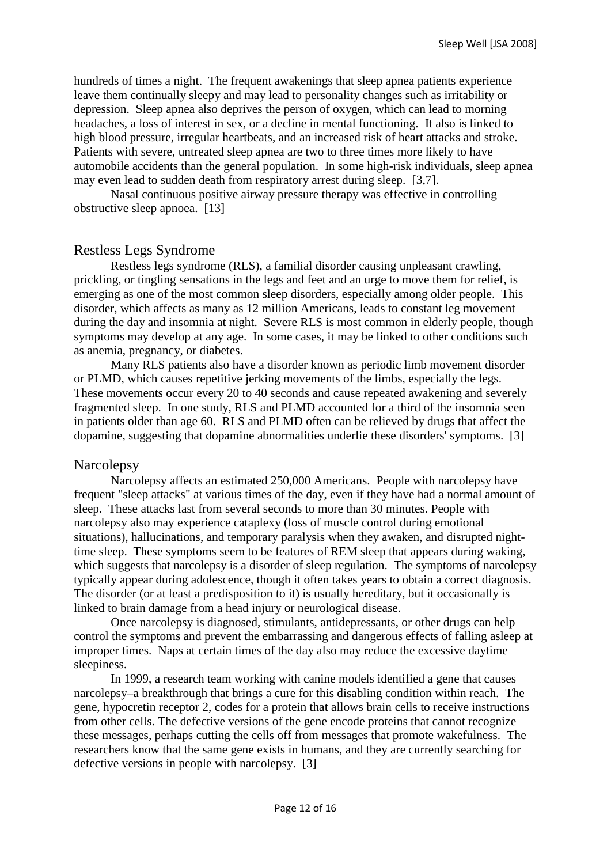hundreds of times a night. The frequent awakenings that sleep apnea patients experience leave them continually sleepy and may lead to personality changes such as irritability or depression. Sleep apnea also deprives the person of oxygen, which can lead to morning headaches, a loss of interest in sex, or a decline in mental functioning. It also is linked to high blood pressure, irregular heartbeats, and an increased risk of heart attacks and stroke. Patients with severe, untreated sleep apnea are two to three times more likely to have automobile accidents than the general population. In some high-risk individuals, sleep apnea may even lead to sudden death from respiratory arrest during sleep. [3,7].

Nasal continuous positive airway pressure therapy was effective in controlling obstructive sleep apnoea. [13]

#### Restless Legs Syndrome

Restless legs syndrome (RLS), a familial disorder causing unpleasant crawling, prickling, or tingling sensations in the legs and feet and an urge to move them for relief, is emerging as one of the most common sleep disorders, especially among older people. This disorder, which affects as many as 12 million Americans, leads to constant leg movement during the day and insomnia at night. Severe RLS is most common in elderly people, though symptoms may develop at any age. In some cases, it may be linked to other conditions such as anemia, pregnancy, or diabetes.

Many RLS patients also have a disorder known as periodic limb movement disorder or PLMD, which causes repetitive jerking movements of the limbs, especially the legs. These movements occur every 20 to 40 seconds and cause repeated awakening and severely fragmented sleep. In one study, RLS and PLMD accounted for a third of the insomnia seen in patients older than age 60. RLS and PLMD often can be relieved by drugs that affect the dopamine, suggesting that dopamine abnormalities underlie these disorders' symptoms. [3]

#### **Narcolepsy**

Narcolepsy affects an estimated 250,000 Americans. People with narcolepsy have frequent "sleep attacks" at various times of the day, even if they have had a normal amount of sleep. These attacks last from several seconds to more than 30 minutes. People with narcolepsy also may experience cataplexy (loss of muscle control during emotional situations), hallucinations, and temporary paralysis when they awaken, and disrupted nighttime sleep. These symptoms seem to be features of REM sleep that appears during waking, which suggests that narcolepsy is a disorder of sleep regulation. The symptoms of narcolepsy typically appear during adolescence, though it often takes years to obtain a correct diagnosis. The disorder (or at least a predisposition to it) is usually hereditary, but it occasionally is linked to brain damage from a head injury or neurological disease.

Once narcolepsy is diagnosed, stimulants, antidepressants, or other drugs can help control the symptoms and prevent the embarrassing and dangerous effects of falling asleep at improper times. Naps at certain times of the day also may reduce the excessive daytime sleepiness.

In 1999, a research team working with canine models identified a gene that causes narcolepsy–a breakthrough that brings a cure for this disabling condition within reach. The gene, hypocretin receptor 2, codes for a protein that allows brain cells to receive instructions from other cells. The defective versions of the gene encode proteins that cannot recognize these messages, perhaps cutting the cells off from messages that promote wakefulness. The researchers know that the same gene exists in humans, and they are currently searching for defective versions in people with narcolepsy. [3]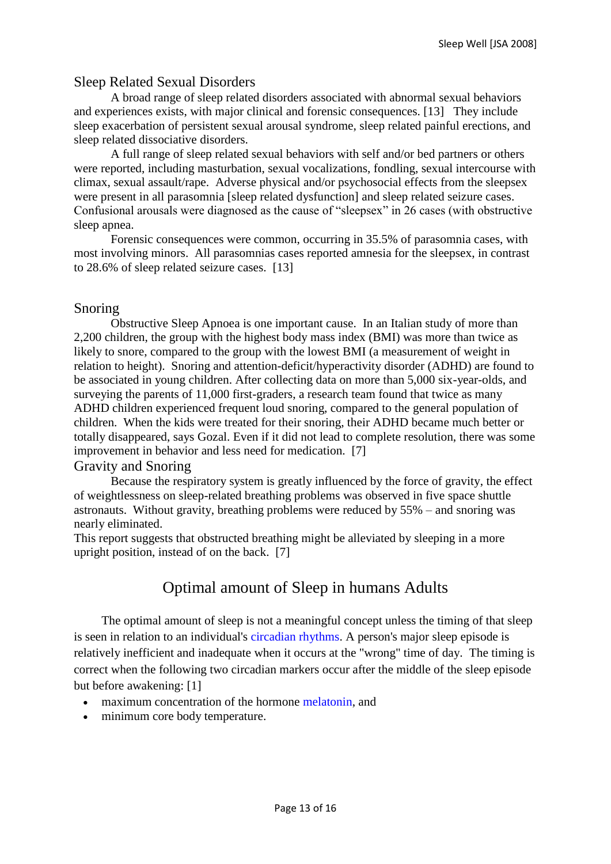#### Sleep Related Sexual Disorders

A broad range of sleep related disorders associated with abnormal sexual behaviors and experiences exists, with major clinical and forensic consequences. [13] They include sleep exacerbation of persistent sexual arousal syndrome, sleep related painful erections, and sleep related dissociative disorders.

A full range of sleep related sexual behaviors with self and/or bed partners or others were reported, including masturbation, sexual vocalizations, fondling, sexual intercourse with climax, sexual assault/rape. Adverse physical and/or psychosocial effects from the sleepsex were present in all parasomnia [sleep related dysfunction] and sleep related seizure cases. Confusional arousals were diagnosed as the cause of "sleepsex" in 26 cases (with obstructive sleep apnea.

Forensic consequences were common, occurring in 35.5% of parasomnia cases, with most involving minors. All parasomnias cases reported amnesia for the sleepsex, in contrast to 28.6% of sleep related seizure cases. [13]

#### Snoring

Obstructive Sleep Apnoea is one important cause. In an Italian study of more than 2,200 children, the group with the highest body mass index (BMI) was more than twice as likely to snore, compared to the group with the lowest BMI (a measurement of weight in relation to height). Snoring and attention-deficit/hyperactivity disorder (ADHD) are found to be associated in young children. After collecting data on more than 5,000 six-year-olds, and surveying the parents of 11,000 first-graders, a research team found that twice as many ADHD children experienced frequent loud snoring, compared to the general population of children. When the kids were treated for their snoring, their ADHD became much better or totally disappeared, says Gozal. Even if it did not lead to complete resolution, there was some improvement in behavior and less need for medication. [7]

#### Gravity and Snoring

Because the respiratory system is greatly influenced by the force of gravity, the effect of weightlessness on sleep-related breathing problems was observed in five space shuttle astronauts. Without gravity, breathing problems were reduced by 55% – and snoring was nearly eliminated.

This report suggests that obstructed breathing might be alleviated by sleeping in a more upright position, instead of on the back. [7]

### Optimal amount of Sleep in humans Adults

The optimal amount of sleep is not a meaningful concept unless the timing of that sleep is seen in relation to an individual's [circadian rhythms.](http://en.wikipedia.org/wiki/Circadian_rhythm) A person's major sleep episode is relatively inefficient and inadequate when it occurs at the "wrong" time of day. The timing is correct when the following two circadian markers occur after the middle of the sleep episode but before awakening: [1]

- maximum concentration of the hormone [melatonin,](http://en.wikipedia.org/wiki/Melatonin) and
- minimum core body temperature.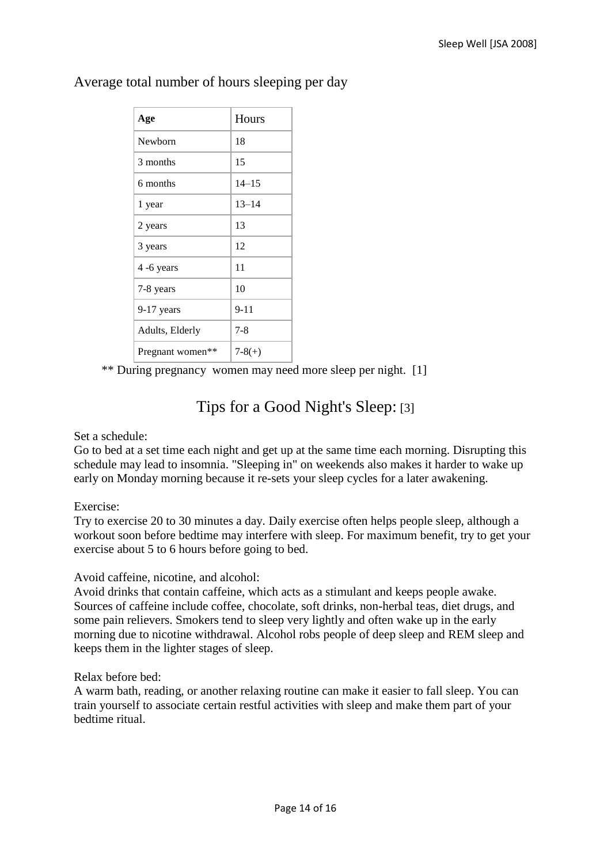| Age                          | Hours     |
|------------------------------|-----------|
| Newborn                      | 18        |
| 3 months                     | 15        |
| 6 months                     | $14 - 15$ |
| 1 year                       | $13 - 14$ |
| 2 years                      | 13        |
| 3 years                      | 12        |
| 4 -6 years                   | 11        |
| 7-8 years                    | 10        |
| $9-17$ years                 | $9 - 11$  |
| Adults, Elderly              | $7-8$     |
| Pregnant women <sup>**</sup> | $7-8(+)$  |

### Average total number of hours sleeping per day

\*\* During pregnancy women may need more sleep per night. [1]

## Tips for a Good Night's Sleep: [3]

Set a schedule:

Go to bed at a set time each night and get up at the same time each morning. Disrupting this schedule may lead to insomnia. "Sleeping in" on weekends also makes it harder to wake up early on Monday morning because it re-sets your sleep cycles for a later awakening.

Exercise:

Try to exercise 20 to 30 minutes a day. Daily exercise often helps people sleep, although a workout soon before bedtime may interfere with sleep. For maximum benefit, try to get your exercise about 5 to 6 hours before going to bed.

Avoid caffeine, nicotine, and alcohol:

Avoid drinks that contain caffeine, which acts as a stimulant and keeps people awake. Sources of caffeine include coffee, chocolate, soft drinks, non-herbal teas, diet drugs, and some pain relievers. Smokers tend to sleep very lightly and often wake up in the early morning due to nicotine withdrawal. Alcohol robs people of deep sleep and REM sleep and keeps them in the lighter stages of sleep.

Relax before bed:

A warm bath, reading, or another relaxing routine can make it easier to fall sleep. You can train yourself to associate certain restful activities with sleep and make them part of your bedtime ritual.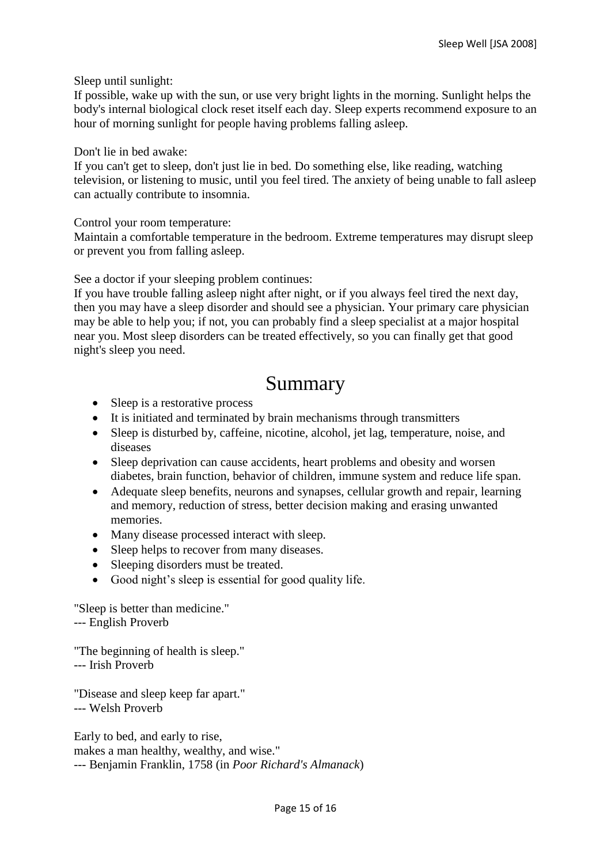Sleep until sunlight:

If possible, wake up with the sun, or use very bright lights in the morning. Sunlight helps the body's internal biological clock reset itself each day. Sleep experts recommend exposure to an hour of morning sunlight for people having problems falling asleep.

Don't lie in bed awake:

If you can't get to sleep, don't just lie in bed. Do something else, like reading, watching television, or listening to music, until you feel tired. The anxiety of being unable to fall asleep can actually contribute to insomnia.

Control your room temperature:

Maintain a comfortable temperature in the bedroom. Extreme temperatures may disrupt sleep or prevent you from falling asleep.

See a doctor if your sleeping problem continues:

If you have trouble falling asleep night after night, or if you always feel tired the next day, then you may have a sleep disorder and should see a physician. Your primary care physician may be able to help you; if not, you can probably find a sleep specialist at a major hospital near you. Most sleep disorders can be treated effectively, so you can finally get that good night's sleep you need.

# Summary

- Sleep is a restorative process
- It is initiated and terminated by brain mechanisms through transmitters
- Sleep is disturbed by, caffeine, nicotine, alcohol, jet lag, temperature, noise, and diseases
- Sleep deprivation can cause accidents, heart problems and obesity and worsen diabetes, brain function, behavior of children, immune system and reduce life span.
- Adequate sleep benefits, neurons and synapses, cellular growth and repair, learning and memory, reduction of stress, better decision making and erasing unwanted memories.
- Many disease processed interact with sleep.
- Sleep helps to recover from many diseases.
- Sleeping disorders must be treated.
- Good night's sleep is essential for good quality life.

"Sleep is better than medicine." --- English Proverb

"The beginning of health is sleep." --- Irish Proverb

"Disease and sleep keep far apart." --- Welsh Proverb

Early to bed, and early to rise, makes a man healthy, wealthy, and wise." --- Benjamin Franklin, 1758 (in *Poor Richard's Almanack*)